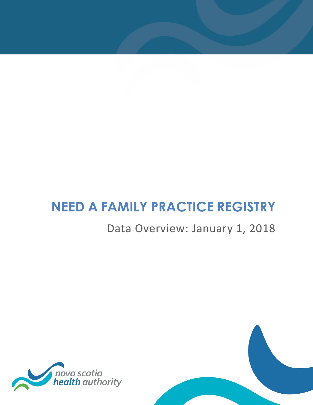# **NEED A FAMILY PRACTICE REGISTRY**

## Data Overview: January 1, 2018



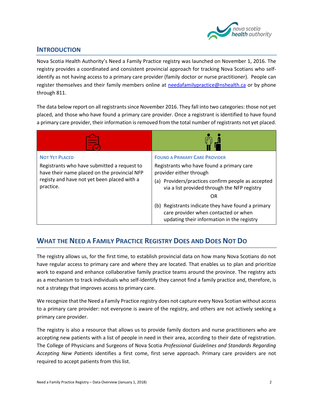

#### **INTRODUCTION**

Nova Scotia Health Authority's Need a Family Practice registry was launched on November 1, 2016. The registry provides a coordinated and consistent provincial approach for tracking Nova Scotians who selfidentify as not having access to a primary care provider (family doctor or nurse practitioner). People can register themselves and their family members online at [needafamilypractice@nshealth.ca](mailto:needafamilypractice@nshealth.ca) or by phone through 811.

The data below report on all registrants since November 2016. They fall into two categories: those not yet placed, and those who have found a primary care provider. Once a registrant is identified to have found a primary care provider, their information is removed from the total number of registrants not yet placed.

| <b>NOT YET PLACED</b><br>Registrants who have submitted a request to<br>have their name placed on the provincial NFP<br>registy and have not yet been placed with a<br>practice. | <b>FOUND A PRIMARY CARE PROVIDER</b><br>Registrants who have found a primary care<br>provider either through<br>(a) Providers/practices confirm people as accepted<br>via a list provided through the NFP registry<br>OR<br>(b) Registrants indicate they have found a primary<br>care provider when contacted or when<br>updating their information in the registry |
|----------------------------------------------------------------------------------------------------------------------------------------------------------------------------------|----------------------------------------------------------------------------------------------------------------------------------------------------------------------------------------------------------------------------------------------------------------------------------------------------------------------------------------------------------------------|

### **WHAT THE NEED A FAMILY PRACTICE REGISTRY DOES AND DOES NOT DO**

The registry allows us, for the first time, to establish provincial data on how many Nova Scotians do not have regular access to primary care and where they are located. That enables us to plan and prioritize work to expand and enhance collaborative family practice teams around the province. The registry acts as a mechanism to track individuals who self-identify they cannot find a family practice and, therefore, is not a strategy that improves access to primary care.

We recognize that the Need a Family Practice registry does not capture every Nova Scotian without access to a primary care provider: not everyone is aware of the registry, and others are not actively seeking a primary care provider.

The registry is also a resource that allows us to provide family doctors and nurse practitioners who are accepting new patients with a list of people in need in their area, according to their date of registration. The College of Physicians and Surgeons of Nova Scotia *Professional Guidelines and Standards Regarding Accepting New Patients* identifies a first come, first serve approach. Primary care providers are not required to accept patients from this list.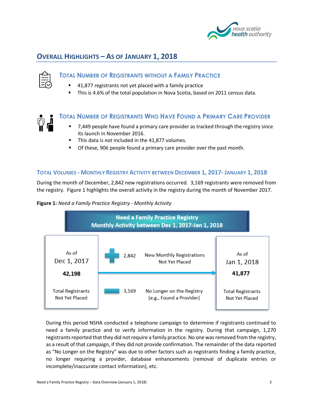

#### **OVERALL HIGHLIGHTS – AS OF JANUARY 1, 2018**

#### **TOTAL NUMBER OF REGISTRANTS WITHOUT A FAMILY PRACTICE**

- 41,877 registrants not yet placed with a family practice
- This is 4.6% of the total population in Nova Scotia, based on 2011 census data.



#### **TOTAL NUMBER OF REGISTRANTS WHO HAVE FOUND A PRIMARY CARE PROVIDER**

- 7,449 people have found a primary care provider as tracked through the registry since its launch in November 2016.
- This data is *not* included in the 41,877 volumes.
- **Of these, 906 people found a primary care provider over the past month.**

#### **TOTAL VOLUMES - MONTHLY REGISTRY ACTIVITY BETWEEN DECEMBER 1, 2017- JANUARY 1, 2018**

During the month of December, 2,842 new registrations occurred. 3,169 registrants were removed from the registry. Figure 1 highlights the overall activity in the registry during the month of November 2017.





During this period NSHA conducted a telephone campaign to determine if registrants continued to need a family practice and to verify information in the registry. During that campaign, 1,270 registrants reported that they did not require a family practice. No one was removed from the registry, as a result of that campaign, if they did not provide confirmation. The remainder of the data reported as "No Longer on the Registry" was due to other factors such as registrants finding a family practice, no longer requiring a provider, database enhancements (removal of duplicate entries or incomplete/inaccurate contact information), etc.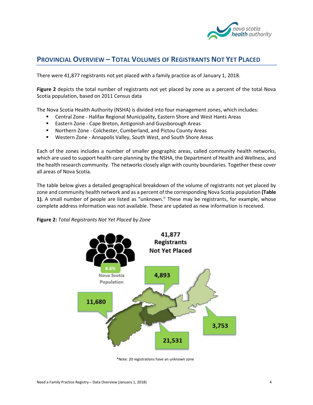

#### **PROVINCIAL OVERVIEW – TOTAL VOLUMES OF REGISTRANTS NOT YET PLACED**

There were 41,877 registrants not yet placed with a family practice as of January 1, 2018.

**Figure 2** depicts the total number of registrants not yet placed by zone as a percent of the total Nova Scotia population, based on 2011 Census data

The Nova Scotia Health Authority (NSHA) is divided into four management zones, which includes:

- Central Zone Halifax Regional Municipality, Eastern Shore and West Hants Areas
- **Eastern Zone Cape Breton, Antigonish and Guysborough Areas**
- Northern Zone Colchester, Cumberland, and Pictou County Areas
- Western Zone Annapolis Valley, South West, and South Shore Areas

Each of the zones includes a number of smaller geographic areas, called community health networks, which are used to support health care planning by the NSHA, the Department of Health and Wellness, and the health research community. The networks closely align with county boundaries. Together these cover all areas of Nova Scotia.

The table below gives a detailed geographical breakdown of the volume of registrants not yet placed by zone and community health network and as a percent of the corresponding Nova Scotia population **(Table 1).** A small number of people are listed as "unknown." These may be registrants, for example, whose complete address information was not available. These are updated as new information is received.

**Figure 2:** *Total Registrants Not Yet Placed by Zone* 



\*Note: 20 registrations have an unknown zone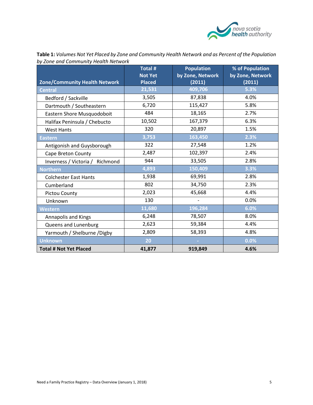

| <b>Zone/Community Health Network</b> | <b>Total#</b><br><b>Not Yet</b><br><b>Placed</b> | <b>Population</b><br>by Zone, Network<br>(2011) | % of Population<br>by Zone, Network<br>(2011) |
|--------------------------------------|--------------------------------------------------|-------------------------------------------------|-----------------------------------------------|
| <b>Central</b>                       | 21,531                                           | 409,706                                         | 5.3%                                          |
| Bedford / Sackville                  | 3,505                                            | 87,838                                          | 4.0%                                          |
| Dartmouth / Southeastern             | 6,720                                            | 115,427                                         | 5.8%                                          |
| Eastern Shore Musquodoboit           | 484                                              | 18,165                                          | 2.7%                                          |
| Halifax Peninsula / Chebucto         | 10,502                                           | 167,379                                         | 6.3%                                          |
| <b>West Hants</b>                    | 320                                              | 20,897                                          | 1.5%                                          |
| <b>Eastern</b>                       | 3,753                                            | 163,450                                         | 2.3%                                          |
| Antigonish and Guysborough           | 322                                              | 27,548                                          | 1.2%                                          |
| Cape Breton County                   | 2,487                                            | 102,397                                         | 2.4%                                          |
| Inverness / Victoria / Richmond      | 944                                              | 33,505                                          | 2.8%                                          |
| <b>Northern</b>                      | 4,893                                            | 150,409                                         | 3.3%                                          |
| <b>Colchester East Hants</b>         | 1,938                                            | 69,991                                          | 2.8%                                          |
| Cumberland                           | 802                                              | 34,750                                          | 2.3%                                          |
| Pictou County                        | 2,023                                            | 45,668                                          | 4.4%                                          |
| Unknown                              | 130                                              |                                                 | 0.0%                                          |
| Western                              | 11,680                                           | 196,284                                         | 6.0%                                          |
| Annapolis and Kings                  | 6,248                                            | 78,507                                          | 8.0%                                          |
| Queens and Lunenburg                 | 2,623                                            | 59,384                                          | 4.4%                                          |
| Yarmouth / Shelburne / Digby         | 2,809                                            | 58,393                                          | 4.8%                                          |
| <b>Unknown</b>                       | 20                                               |                                                 | 0.0%                                          |
| <b>Total # Not Yet Placed</b>        | 41,877                                           | 919,849                                         | 4.6%                                          |

**Table 1:** *Volumes Not Yet Placed by Zone and Community Health Network and as Percent of the Population by Zone and Community Health Network*